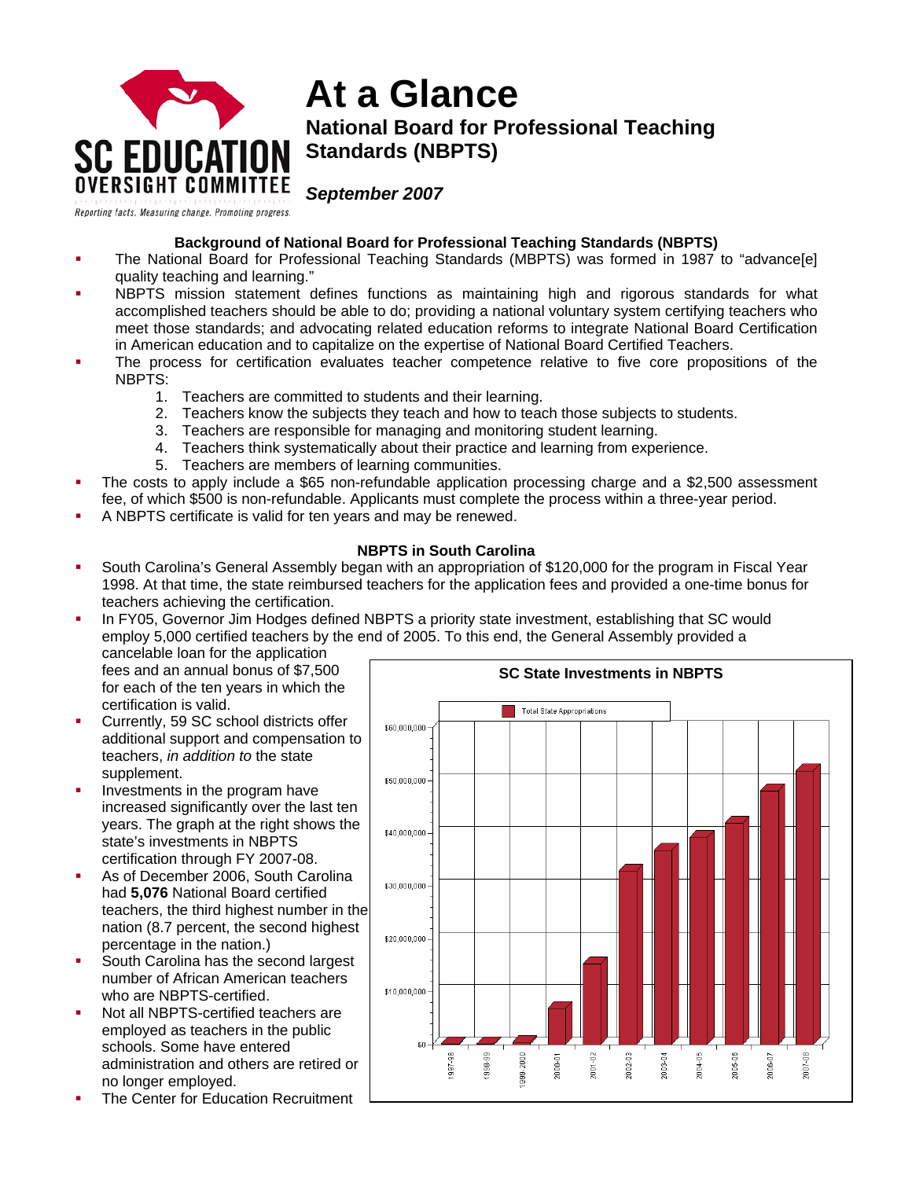

# **At a Glance National Board for Professional Teaching Standards (NBPTS)**

*September 2007* 

# **Background of National Board for Professional Teaching Standards (NBPTS)**

- The National Board for Professional Teaching Standards (MBPTS) was formed in 1987 to "advance[e] quality teaching and learning."
- NBPTS mission statement defines functions as maintaining high and rigorous standards for what accomplished teachers should be able to do; providing a national voluntary system certifying teachers who meet those standards; and advocating related education reforms to integrate National Board Certification in American education and to capitalize on the expertise of National Board Certified Teachers.
- The process for certification evaluates teacher competence relative to five core propositions of the NBPTS:
	- 1. Teachers are committed to students and their learning.
	- 2. Teachers know the subjects they teach and how to teach those subjects to students.
	- 3. Teachers are responsible for managing and monitoring student learning.
	- 4. Teachers think systematically about their practice and learning from experience.
	- 5. Teachers are members of learning communities.
- The costs to apply include a \$65 non-refundable application processing charge and a \$2,500 assessment fee, of which \$500 is non-refundable. Applicants must complete the process within a three-year period.
- A NBPTS certificate is valid for ten years and may be renewed.

## **NBPTS in South Carolina**

- South Carolina's General Assembly began with an appropriation of \$120,000 for the program in Fiscal Year 1998. At that time, the state reimbursed teachers for the application fees and provided a one-time bonus for teachers achieving the certification.
- In FY05, Governor Jim Hodges defined NBPTS a priority state investment, establishing that SC would employ 5,000 certified teachers by the end of 2005. To this end, the General Assembly provided a

cancelable loan for the application fees and an annual bonus of \$7,500 for each of the ten years in which the certification is valid.

- Currently, 59 SC school districts offer additional support and compensation to teachers, *in addition to* the state supplement.
- Investments in the program have increased significantly over the last ten years. The graph at the right shows the state's investments in NBPTS certification through FY 2007-08.
- As of December 2006, South Carolina had **5,076** National Board certified teachers, the third highest number in the nation (8.7 percent, the second highest percentage in the nation.)
- South Carolina has the second largest number of African American teachers who are NBPTS-certified.
- Not all NBPTS-certified teachers are employed as teachers in the public schools. Some have entered administration and others are retired or no longer employed.
- The Center for Education Recruitment